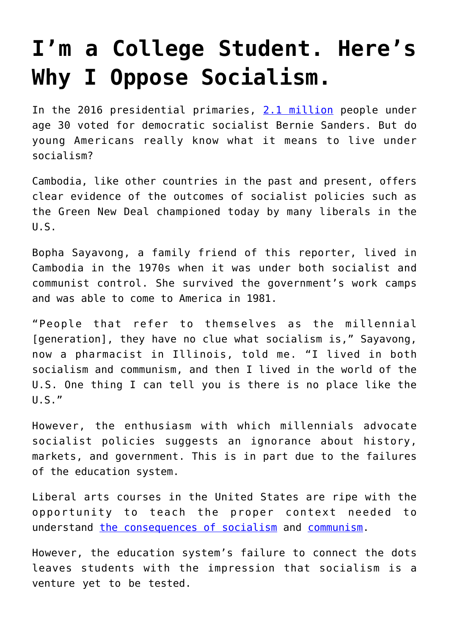## **[I'm a College Student. Here's](https://intellectualtakeout.org/2019/04/im-a-college-student-heres-why-i-oppose-socialism/) [Why I Oppose Socialism.](https://intellectualtakeout.org/2019/04/im-a-college-student-heres-why-i-oppose-socialism/)**

In the 2016 presidential primaries, [2.1 million](https://www.heritage.org/progressivism/commentary/what-americans-must-know-about-socialism) people under age 30 voted for democratic socialist Bernie Sanders. But do young Americans really know what it means to live under socialism?

Cambodia, like other countries in the past and present, offers clear evidence of the outcomes of socialist policies such as the Green New Deal championed today by many liberals in the  $U.S.$ 

Bopha Sayavong, a family friend of this reporter, lived in Cambodia in the 1970s when it was under both socialist and communist control. She survived the government's work camps and was able to come to America in 1981.

"People that refer to themselves as the millennial [generation], they have no clue what socialism is," Sayavong, now a pharmacist in Illinois, told me. "I lived in both socialism and communism, and then I lived in the world of the U.S. One thing I can tell you is there is no place like the  $II.S.'$ 

However, the enthusiasm with which millennials advocate socialist policies suggests an ignorance about history, markets, and government. This is in part due to the failures of the education system.

Liberal arts courses in the United States are ripe with the opportunity to teach the proper context needed to understand [the consequences of socialism](https://www.heritage.org/progressivism/commentary/what-americans-must-know-about-socialism) and [communism](https://www.heritage.org/global-politics/commentary/communism-hundred-years-after-the-russian-revolution-it-lives-more-you).

However, the education system's failure to connect the dots leaves students with the impression that socialism is a venture yet to be tested.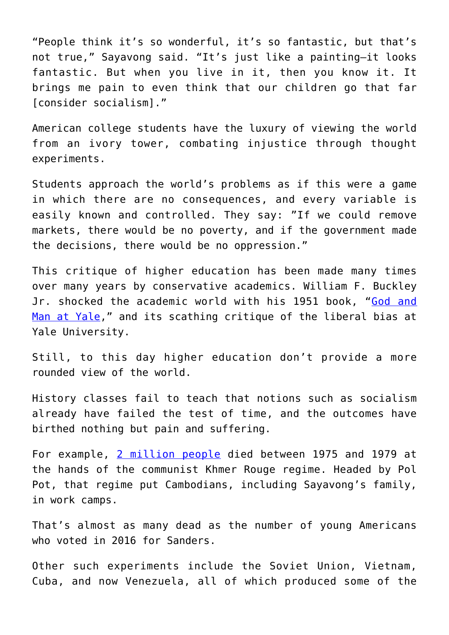"People think it's so wonderful, it's so fantastic, but that's not true," Sayavong said. "It's just like a painting–it looks fantastic. But when you live in it, then you know it. It brings me pain to even think that our children go that far [consider socialism]."

American college students have the luxury of viewing the world from an ivory tower, combating injustice through thought experiments.

Students approach the world's problems as if this were a game in which there are no consequences, and every variable is easily known and controlled. They say: "If we could remove markets, there would be no poverty, and if the government made the decisions, there would be no oppression."

This critique of higher education has been made many times over many years by conservative academics. William F. Buckley Jr. shocked the academic world with his 1951 book, "[God and](https://www.amazon.com/God-Man-Yale-Superstitions-Academic/dp/089526692X) [Man at Yale](https://www.amazon.com/God-Man-Yale-Superstitions-Academic/dp/089526692X)," and its scathing critique of the liberal bias at Yale University.

Still, to this day higher education don't provide a more rounded view of the world.

History classes fail to teach that notions such as socialism already have failed the test of time, and the outcomes have birthed nothing but pain and suffering.

For example, [2 million people](http://www.cambodiatribunal.org/history/cambodian-history/khmer-rouge-history/) died between 1975 and 1979 at the hands of the communist Khmer Rouge regime. Headed by Pol Pot, that regime put Cambodians, including Sayavong's family, in work camps.

That's almost as many dead as the number of young Americans who voted in 2016 for Sanders.

Other such experiments include the Soviet Union, Vietnam, Cuba, and now Venezuela, all of which produced some of the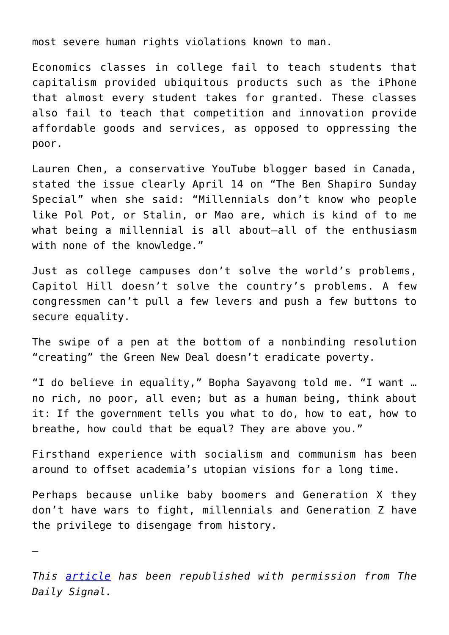most severe human rights violations known to man.

Economics classes in college fail to teach students that capitalism provided ubiquitous products such as the iPhone that almost every student takes for granted. These classes also fail to teach that competition and innovation provide affordable goods and services, as opposed to oppressing the poor.

Lauren Chen, a conservative YouTube blogger based in Canada, stated the issue clearly April 14 on "The Ben Shapiro Sunday Special" when she said: "Millennials don't know who people like Pol Pot, or Stalin, or Mao are, which is kind of to me what being a millennial is all about–all of the enthusiasm with none of the knowledge."

Just as college campuses don't solve the world's problems, Capitol Hill doesn't solve the country's problems. A few congressmen can't pull a few levers and push a few buttons to secure equality.

The swipe of a pen at the bottom of a nonbinding resolution "creating" the Green New Deal doesn't eradicate poverty.

"I do believe in equality," Bopha Sayavong told me. "I want … no rich, no poor, all even; but as a human being, think about it: If the government tells you what to do, how to eat, how to breathe, how could that be equal? They are above you."

Firsthand experience with socialism and communism has been around to offset academia's utopian visions for a long time.

Perhaps because unlike baby boomers and Generation X they don't have wars to fight, millennials and Generation Z have the privilege to disengage from history.

—

*This [article](https://www.dailysignal.com/2019/04/24/im-a-college-student-heres-why-i-oppose-socialism/) has been republished with permission from The Daily Signal.*